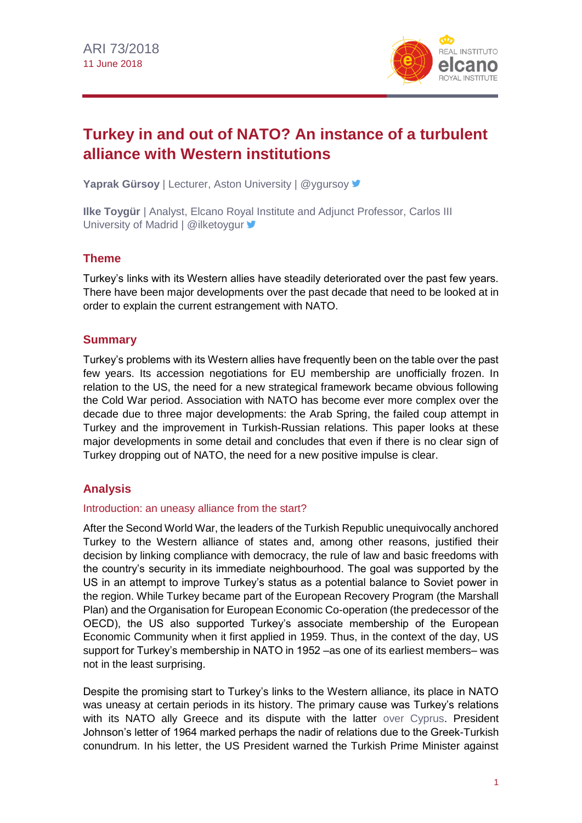

# **Turkey in and out of NATO? An instance of a turbulent alliance with Western institutions**

Yaprak Gürsoy | Lecturer, Aston University | @ygursoy V

**Ilke Toygür** | Analyst, Elcano Royal Institute and Adjunct Professor, Carlos III University of Madrid | @ilketoygur  $\blacktriangleright$ 

## **Theme**

Turkey's links with its Western allies have steadily deteriorated over the past few years. There have been major developments over the past decade that need to be looked at in order to explain the current estrangement with NATO.

## **Summary**

Turkey's problems with its Western allies have frequently been on the table over the past few years. Its accession negotiations for EU membership are unofficially frozen. In relation to the US, the need for a new strategical framework became obvious following the Cold War period. Association with NATO has become ever more complex over the decade due to three major developments: the Arab Spring, the failed coup attempt in Turkey and the improvement in Turkish-Russian relations. This paper looks at these major developments in some detail and concludes that even if there is no clear sign of Turkey dropping out of NATO, the need for a new positive impulse is clear.

# **Analysis**

#### Introduction: an uneasy alliance from the start?

After the Second World War, the leaders of the Turkish Republic unequivocally anchored Turkey to the Western alliance of states and, among other reasons, justified their decision by linking compliance with democracy, the rule of law and basic freedoms with the country's security in its immediate neighbourhood. The goal was supported by the US in an attempt to improve Turkey's status as a potential balance to Soviet power in the region. While Turkey became part of the European Recovery Program (the Marshall Plan) and the Organisation for European Economic Co-operation (the predecessor of the OECD), the US also supported Turkey's associate membership of the European Economic Community when it first applied in 1959. Thus, in the context of the day, US support for Turkey's membership in NATO in 1952 –as one of its earliest members– was not in the least surprising.

Despite the promising start to Turkey's links to the Western alliance, its place in NATO was uneasy at certain periods in its history. The primary cause was Turkey's relations with its NATO ally Greece and its dispute with the latter [over Cyprus.](http://www.realinstitutoelcano.org/wps/portal/rielcano_en/contenido?WCM_GLOBAL_CONTEXT=/elcano/elcano_in/zonas_in/ari6-2017-chislett-cyprus-elusive-reunification-so-near-to-solution-yet-so-far) President Johnson's letter of 1964 marked perhaps the nadir of relations due to the Greek-Turkish conundrum. In his letter, the US President warned the Turkish Prime Minister against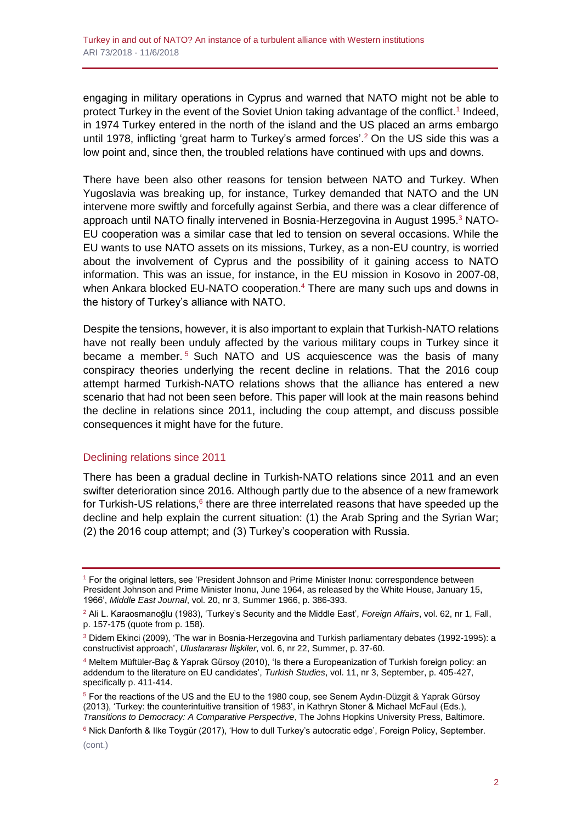engaging in military operations in Cyprus and warned that NATO might not be able to protect Turkey in the event of the Soviet Union taking advantage of the conflict.<sup>1</sup> Indeed, in 1974 Turkey entered in the north of the island and the US placed an arms embargo until 1978, inflicting 'great harm to Turkey's armed forces'.<sup>2</sup> On the US side this was a low point and, since then, the troubled relations have continued with ups and downs.

There have been also other reasons for tension between NATO and Turkey. When Yugoslavia was breaking up, for instance, Turkey demanded that NATO and the UN intervene more swiftly and forcefully against Serbia, and there was a clear difference of approach until NATO finally intervened in Bosnia-Herzegovina in August 1995. $3$  NATO-EU cooperation was a similar case that led to tension on several occasions. While the EU wants to use NATO assets on its missions, Turkey, as a non-EU country, is worried about the involvement of Cyprus and the possibility of it gaining access to NATO information. This was an issue, for instance, in the EU mission in Kosovo in 2007-08, when Ankara blocked EU-NATO cooperation.<sup>4</sup> There are many such ups and downs in the history of Turkey's alliance with NATO.

Despite the tensions, however, it is also important to explain that Turkish-NATO relations have not really been unduly affected by the various military coups in Turkey since it became a member. <sup>5</sup> Such NATO and US acquiescence was the basis of many conspiracy theories underlying the recent decline in relations. That the 2016 coup attempt harmed Turkish-NATO relations shows that the alliance has entered a new scenario that had not been seen before. This paper will look at the main reasons behind the decline in relations since 2011, including the coup attempt, and discuss possible consequences it might have for the future.

#### Declining relations since 2011

There has been a gradual decline in Turkish-NATO relations since 2011 and an even swifter deterioration since 2016. Although partly due to the absence of a new framework for Turkish-US relations,<sup>6</sup> there are three interrelated reasons that have speeded up the decline and help explain the current situation: (1) the Arab Spring and the Syrian War; (2) the 2016 coup attempt; and (3) Turkey's cooperation with Russia.

<sup>1</sup> For the original letters, see 'President Johnson and Prime Minister Inonu: correspondence between President Johnson and Prime Minister Inonu, June 1964, as released by the White House, January 15, 1966', *Middle East Journal*, vol. 20, nr 3, Summer 1966, p. 386-393.

<sup>2</sup> Ali L. Karaosmanoğlu (1983), 'Turkey's Security and the Middle East', *Foreign Affairs*, vol. 62, nr 1, Fall, p. 157-175 (quote from p. 158).

<sup>3</sup> Didem Ekinci (2009), 'The war in Bosnia-Herzegovina and Turkish parliamentary debates (1992-1995): a constructivist approach', *Uluslararası İlişkiler*, vol. 6, nr 22, Summer, p. 37-60.

<sup>4</sup> Meltem Müftüler-Baç & Yaprak Gürsoy (2010), 'Is there a Europeanization of Turkish foreign policy: an addendum to the literature on EU candidates', *Turkish Studies*, vol. 11, nr 3, September, p. 405-427, specifically p. 411-414.

<sup>5</sup> For the reactions of the US and the EU to the 1980 coup, see Senem Aydın-Düzgit & Yaprak Gürsoy (2013), 'Turkey: the counterintuitive transition of 1983', in Kathryn Stoner & Michael McFaul (Eds.), *Transitions to Democracy: A Comparative Perspective*, The Johns Hopkins University Press, Baltimore.

<sup>6</sup> Nick Danforth & Ilke Toygür (2017), 'How to dull Turkey's autocratic edge', Foreign Policy, September.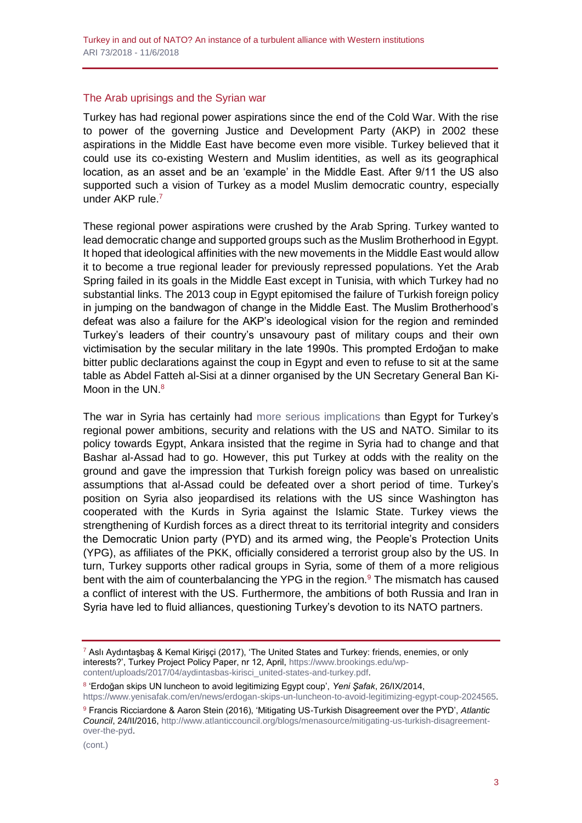#### The Arab uprisings and the Syrian war

Turkey has had regional power aspirations since the end of the Cold War. With the rise to power of the governing Justice and Development Party (AKP) in 2002 these aspirations in the Middle East have become even more visible. Turkey believed that it could use its co-existing Western and Muslim identities, as well as its geographical location, as an asset and be an 'example' in the Middle East. After 9/11 the US also supported such a vision of Turkey as a model Muslim democratic country, especially under AKP rule.<sup>7</sup>

These regional power aspirations were crushed by the Arab Spring. Turkey wanted to lead democratic change and supported groups such as the Muslim Brotherhood in Egypt. It hoped that ideological affinities with the new movements in the Middle East would allow it to become a true regional leader for previously repressed populations. Yet the Arab Spring failed in its goals in the Middle East except in Tunisia, with which Turkey had no substantial links. The 2013 coup in Egypt epitomised the failure of Turkish foreign policy in jumping on the bandwagon of change in the Middle East. The Muslim Brotherhood's defeat was also a failure for the AKP's ideological vision for the region and reminded Turkey's leaders of their country's unsavoury past of military coups and their own victimisation by the secular military in the late 1990s. This prompted Erdoğan to make bitter public declarations against the coup in Egypt and even to refuse to sit at the same table as Abdel Fatteh al-Sisi at a dinner organised by the UN Secretary General Ban Ki-Moon in the UN.<sup>8</sup>

The war in Syria has certainly had [more serious implications](http://www.realinstitutoelcano.org/wps/portal/rielcano_en/contenido?WCM_GLOBAL_CONTEXT=/elcano/elcano_in/zonas_in/ari4-2016-ozel-surrounded-by-trouble-hit-by-conflict-turkey-manifold-challenges) than Egypt for Turkey's regional power ambitions, security and relations with the US and NATO. Similar to its policy towards Egypt, Ankara insisted that the regime in Syria had to change and that Bashar al-Assad had to go. However, this put Turkey at odds with the reality on the ground and gave the impression that Turkish foreign policy was based on unrealistic assumptions that al-Assad could be defeated over a short period of time. Turkey's position on Syria also jeopardised its relations with the US since Washington has cooperated with the Kurds in Syria against the Islamic State. Turkey views the strengthening of Kurdish forces as a direct threat to its territorial integrity and considers the Democratic Union party (PYD) and its armed wing, the People's Protection Units (YPG), as affiliates of the PKK, officially considered a terrorist group also by the US. In turn, Turkey supports other radical groups in Syria, some of them of a more religious bent with the aim of counterbalancing the YPG in the region. $9$  The mismatch has caused a conflict of interest with the US. Furthermore, the ambitions of both Russia and Iran in Syria have led to fluid alliances, questioning Turkey's devotion to its NATO partners.

8 'Erdoğan skips UN luncheon to avoid legitimizing Egypt coup', *Yeni Şafak*, 26/IX/2014, [https://www.yenisafak.com/en/news/erdogan-skips-un-luncheon-to-avoid-legitimizing-egypt-coup-2024565.](https://www.yenisafak.com/en/news/erdogan-skips-un-luncheon-to-avoid-legitimizing-egypt-coup-2024565)

<sup>7</sup> Aslı Aydıntaşbaş & Kemal Kirişçi (2017), 'The United States and Turkey: friends, enemies, or only interests?', Turkey Project Policy Paper, nr 12, April[, https://www.brookings.edu/wp](https://www.brookings.edu/wp-content/uploads/2017/04/aydintasbas-kirisci_united-states-and-turkey.pdf)[content/uploads/2017/04/aydintasbas-kirisci\\_united-states-and-turkey.pdf.](https://www.brookings.edu/wp-content/uploads/2017/04/aydintasbas-kirisci_united-states-and-turkey.pdf)

<sup>9</sup> Francis Ricciardone & Aaron Stein (2016), 'Mitigating US-Turkish Disagreement over the PYD', *Atlantic Council*, 24/II/2016, [http://www.atlanticcouncil.org/blogs/menasource/mitigating-us-turkish-disagreement](http://www.atlanticcouncil.org/blogs/menasource/mitigating-us-turkish-disagreement-over-the-pyd)[over-the-pyd.](http://www.atlanticcouncil.org/blogs/menasource/mitigating-us-turkish-disagreement-over-the-pyd)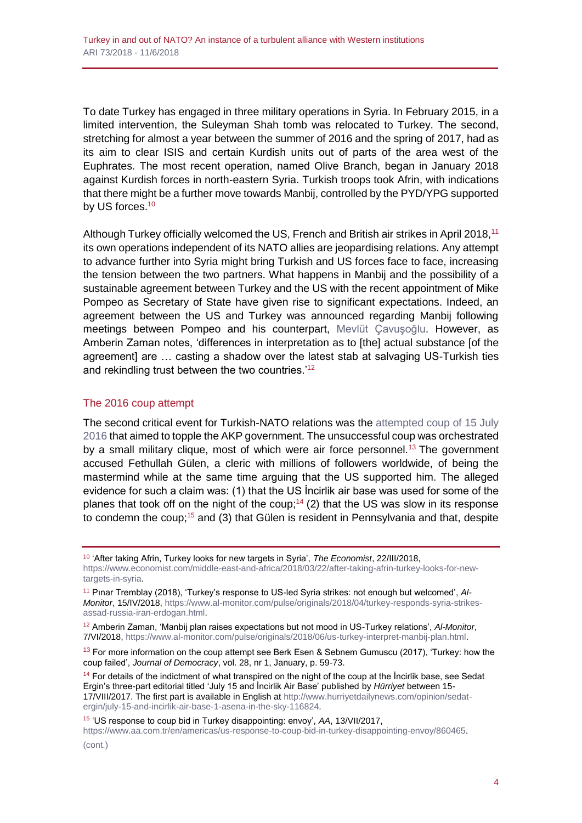To date Turkey has engaged in three military operations in Syria. In February 2015, in a limited intervention, the Suleyman Shah tomb was relocated to Turkey. The second, stretching for almost a year between the summer of 2016 and the spring of 2017, had as its aim to clear ISIS and certain Kurdish units out of parts of the area west of the Euphrates. The most recent operation, named Olive Branch, began in January 2018 against Kurdish forces in north-eastern Syria. Turkish troops took Afrin, with indications that there might be a further move towards Manbij, controlled by the PYD/YPG supported by US forces.<sup>10</sup>

Although Turkey officially welcomed the US, French and British air strikes in April 2018.<sup>11</sup> its own operations independent of its NATO allies are jeopardising relations. Any attempt to advance further into Syria might bring Turkish and US forces face to face, increasing the tension between the two partners. What happens in Manbij and the possibility of a sustainable agreement between Turkey and the US with the recent appointment of Mike Pompeo as Secretary of State have given rise to significant expectations. Indeed, an agreement between the US and Turkey was announced regarding Manbij following meetings between Pompeo and his counterpart, [Mevlüt Çavuşoğlu.](http://www.realinstitutoelcano.org/wps/portal/rielcano_es/actividad?WCM_GLOBAL_CONTEXT=/elcano/elcano_es/calendario/actividades/conferencia-turquia-mevlut-cavusoglu) However, as Amberin Zaman notes, 'differences in interpretation as to [the] actual substance [of the agreement] are … casting a shadow over the latest stab at salvaging US-Turkish ties and rekindling trust between the two countries.<sup>'12</sup>

#### The 2016 coup attempt

The second critical event for Turkish-NATO relations was the [attempted coup of 15 July](http://www.realinstitutoelcano.org/wps/portal/rielcano_en/contenido?WCM_GLOBAL_CONTEXT=/elcano/elcano_in/zonas_in/commentary-toygur-from-failed-coup-to-state-emergency-democracy-turkey-today)  [2016](http://www.realinstitutoelcano.org/wps/portal/rielcano_en/contenido?WCM_GLOBAL_CONTEXT=/elcano/elcano_in/zonas_in/commentary-toygur-from-failed-coup-to-state-emergency-democracy-turkey-today) that aimed to topple the AKP government. The unsuccessful coup was orchestrated by a small military clique, most of which were air force personnel.<sup>13</sup> The government accused Fethullah Gülen, a cleric with millions of followers worldwide, of being the mastermind while at the same time arguing that the US supported him. The alleged evidence for such a claim was: (1) that the US İncirlik air base was used for some of the planes that took off on the night of the coup;<sup>14</sup> (2) that the US was slow in its response to condemn the coup;<sup>15</sup> and (3) that Gülen is resident in Pennsylvania and that, despite

<sup>14</sup> For details of the indictment of what transpired on the night of the coup at the *lncirlik* base, see Sedat Ergin's three-part editorial titled 'July 15 and İncirlik Air Base' published by *Hürriyet* between 15- 17/VIII/2017. The first part is available in English at [http://www.hurriyetdailynews.com/opinion/sedat](http://www.hurriyetdailynews.com/opinion/sedat-ergin/july-15-and-incirlik-air-base-1-asena-in-the-sky-116824)[ergin/july-15-and-incirlik-air-base-1-asena-in-the-sky-116824.](http://www.hurriyetdailynews.com/opinion/sedat-ergin/july-15-and-incirlik-air-base-1-asena-in-the-sky-116824)

<sup>15</sup> 'US response to coup bid in Turkey disappointing: envoy', *AA*, 13/VII/2017, [https://www.aa.com.tr/en/americas/us-response-to-coup-bid-in-turkey-disappointing-envoy/860465.](https://www.aa.com.tr/en/americas/us-response-to-coup-bid-in-turkey-disappointing-envoy/860465) (cont.)

<sup>10</sup> 'After taking Afrin, Turkey looks for new targets in Syria', *The Economist*, 22/III/2018, [https://www.economist.com/middle-east-and-africa/2018/03/22/after-taking-afrin-turkey-looks-for-new](https://www.economist.com/middle-east-and-africa/2018/03/22/after-taking-afrin-turkey-looks-for-new-targets-in-syria)[targets-in-syria.](https://www.economist.com/middle-east-and-africa/2018/03/22/after-taking-afrin-turkey-looks-for-new-targets-in-syria)

<sup>11</sup> Pınar Tremblay (2018), 'Turkey's response to US-led Syria strikes: not enough but welcomed', *Al-Monitor*, 15/IV/2018[, https://www.al-monitor.com/pulse/originals/2018/04/turkey-responds-syria-strikes](https://www.al-monitor.com/pulse/originals/2018/04/turkey-responds-syria-strikes-assad-russia-iran-erdogan.html)[assad-russia-iran-erdogan.html.](https://www.al-monitor.com/pulse/originals/2018/04/turkey-responds-syria-strikes-assad-russia-iran-erdogan.html)

<sup>12</sup> Amberin Zaman, 'Manbij plan raises expectations but not mood in US-Turkey relations', *Al-Monitor*, 7/VI/2018[, https://www.al-monitor.com/pulse/originals/2018/06/us-turkey-interpret-manbij-plan.html.](https://www.al-monitor.com/pulse/originals/2018/06/us-turkey-interpret-manbij-plan.html)

 $13$  For more information on the coup attempt see Berk Esen & Sebnem Gumuscu (2017), 'Turkey: how the coup failed', *Journal of Democracy*, vol. 28, nr 1, January, p. 59-73.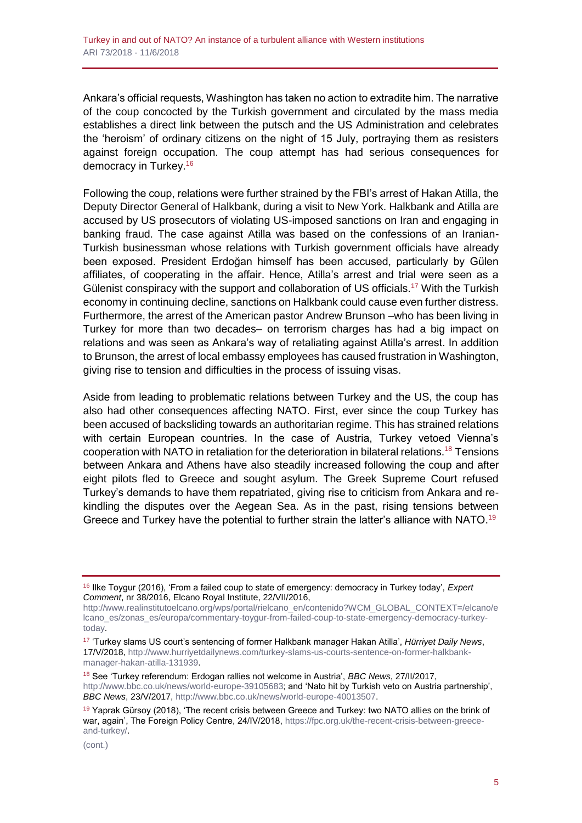Ankara's official requests, Washington has taken no action to extradite him. The narrative of the coup concocted by the Turkish government and circulated by the mass media establishes a direct link between the putsch and the US Administration and celebrates the 'heroism' of ordinary citizens on the night of 15 July, portraying them as resisters against foreign occupation. The coup attempt has had serious consequences for democracy in Turkey.<sup>16</sup>

Following the coup, relations were further strained by the FBI's arrest of Hakan Atilla, the Deputy Director General of Halkbank, during a visit to New York. Halkbank and Atilla are accused by US prosecutors of violating US-imposed sanctions on Iran and engaging in banking fraud. The case against Atilla was based on the confessions of an Iranian-Turkish businessman whose relations with Turkish government officials have already been exposed. President Erdoğan himself has been accused, particularly by Gülen affiliates, of cooperating in the affair. Hence, Atilla's arrest and trial were seen as a Gülenist conspiracy with the support and collaboration of US officials.<sup>17</sup> With the Turkish economy in continuing decline, sanctions on Halkbank could cause even further distress. Furthermore, the arrest of the American pastor Andrew Brunson –who has been living in Turkey for more than two decades– on terrorism charges has had a big impact on relations and was seen as Ankara's way of retaliating against Atilla's arrest. In addition to Brunson, the arrest of local embassy employees has caused frustration in Washington, giving rise to tension and difficulties in the process of issuing visas.

Aside from leading to problematic relations between Turkey and the US, the coup has also had other consequences affecting NATO. First, ever since the coup Turkey has been accused of backsliding towards an authoritarian regime. This has strained relations with certain European countries. In the case of Austria, Turkey vetoed Vienna's cooperation with NATO in retaliation for the deterioration in bilateral relations.<sup>18</sup> Tensions between Ankara and Athens have also steadily increased following the coup and after eight pilots fled to Greece and sought asylum. The Greek Supreme Court refused Turkey's demands to have them repatriated, giving rise to criticism from Ankara and rekindling the disputes over the Aegean Sea. As in the past, rising tensions between Greece and Turkey have the potential to further strain the latter's alliance with NATO.<sup>19</sup>

<sup>16</sup> Ilke Toygur (2016), 'From a failed coup to state of emergency: democracy in Turkey today', *Expert Comment*, nr 38/2016, Elcano Royal Institute, 22/VII/2016,

[http://www.realinstitutoelcano.org/wps/portal/rielcano\\_en/contenido?WCM\\_GLOBAL\\_CONTEXT=/elcano/e](http://www.realinstitutoelcano.org/wps/portal/rielcano_en/contenido?WCM_GLOBAL_CONTEXT=/elcano/elcano_es/zonas_es/europa/commentary-toygur-from-failed-coup-to-state-emergency-democracy-turkey-today) [lcano\\_es/zonas\\_es/europa/commentary-toygur-from-failed-coup-to-state-emergency-democracy-turkey](http://www.realinstitutoelcano.org/wps/portal/rielcano_en/contenido?WCM_GLOBAL_CONTEXT=/elcano/elcano_es/zonas_es/europa/commentary-toygur-from-failed-coup-to-state-emergency-democracy-turkey-today)[today.](http://www.realinstitutoelcano.org/wps/portal/rielcano_en/contenido?WCM_GLOBAL_CONTEXT=/elcano/elcano_es/zonas_es/europa/commentary-toygur-from-failed-coup-to-state-emergency-democracy-turkey-today)

<sup>17</sup> 'Turkey slams US court's sentencing of former Halkbank manager Hakan Atilla', *Hürriyet Daily News*, 17/V/2018, [http://www.hurriyetdailynews.com/turkey-slams-us-courts-sentence-on-former-halkbank](http://www.hurriyetdailynews.com/turkey-slams-us-courts-sentence-on-former-halkbank-manager-hakan-atilla-131939)[manager-hakan-atilla-131939.](http://www.hurriyetdailynews.com/turkey-slams-us-courts-sentence-on-former-halkbank-manager-hakan-atilla-131939)

<sup>18</sup> See 'Turkey referendum: Erdogan rallies not welcome in Austria', *BBC News*, 27/II/2017, [http://www.bbc.co.uk/news/world-europe-39105683;](http://www.bbc.co.uk/news/world-europe-39105683) and 'Nato hit by Turkish veto on Austria partnership', *BBC News*, 23/V/2017[, http://www.bbc.co.uk/news/world-europe-40013507.](http://www.bbc.co.uk/news/world-europe-40013507)

<sup>&</sup>lt;sup>19</sup> Yaprak Gürsoy (2018), 'The recent crisis between Greece and Turkey: two NATO allies on the brink of war, again', The Foreign Policy Centre, 24/IV/2018[, https://fpc.org.uk/the-recent-crisis-between-greece](https://fpc.org.uk/the-recent-crisis-between-greece-and-turkey/)[and-turkey/.](https://fpc.org.uk/the-recent-crisis-between-greece-and-turkey/)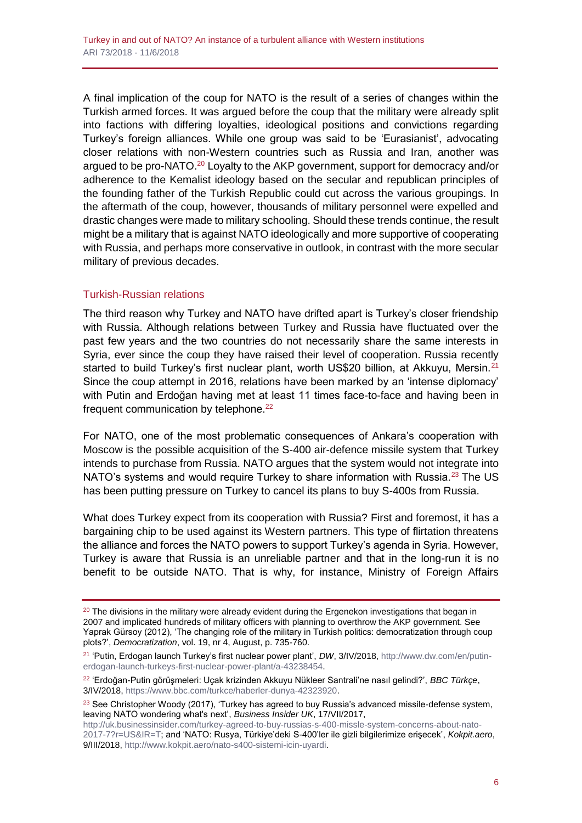A final implication of the coup for NATO is the result of a series of changes within the Turkish armed forces. It was argued before the coup that the military were already split into factions with differing loyalties, ideological positions and convictions regarding Turkey's foreign alliances. While one group was said to be 'Eurasianist', advocating closer relations with non-Western countries such as Russia and Iran, another was argued to be pro-NATO.<sup>20</sup> Loyalty to the AKP government, support for democracy and/or adherence to the Kemalist ideology based on the secular and republican principles of the founding father of the Turkish Republic could cut across the various groupings. In the aftermath of the coup, however, thousands of military personnel were expelled and drastic changes were made to military schooling. Should these trends continue, the result might be a military that is against NATO ideologically and more supportive of cooperating with Russia, and perhaps more conservative in outlook, in contrast with the more secular military of previous decades.

#### Turkish-Russian relations

The third reason why Turkey and NATO have drifted apart is Turkey's closer friendship with Russia. Although relations between Turkey and Russia have fluctuated over the past few years and the two countries do not necessarily share the same interests in Syria, ever since the coup they have raised their level of cooperation. Russia recently started to build Turkey's first nuclear plant, worth US\$20 billion, at Akkuyu, Mersin.<sup>21</sup> Since the coup attempt in 2016, relations have been marked by an 'intense diplomacy' with Putin and Erdoğan having met at least 11 times face-to-face and having been in frequent communication by telephone.<sup>22</sup>

For NATO, one of the most problematic consequences of Ankara's cooperation with Moscow is the possible acquisition of the S-400 air-defence missile system that Turkey intends to purchase from Russia. NATO argues that the system would not integrate into NATO's systems and would require Turkey to share information with Russia.<sup>23</sup> The US has been putting pressure on Turkey to cancel its plans to buy S-400s from Russia.

What does Turkey expect from its cooperation with Russia? First and foremost, it has a bargaining chip to be used against its Western partners. This type of flirtation threatens the alliance and forces the NATO powers to support Turkey's agenda in Syria. However, Turkey is aware that Russia is an unreliable partner and that in the long-run it is no benefit to be outside NATO. That is why, for instance, Ministry of Foreign Affairs

 $20$  The divisions in the military were already evident during the Ergenekon investigations that began in 2007 and implicated hundreds of military officers with planning to overthrow the AKP government. See Yaprak Gürsoy (2012), 'The changing role of the military in Turkish politics: democratization through coup plots?', *Democratization*, vol. 19, nr 4, August, p. 735-760.

<sup>21</sup> 'Putin, Erdogan launch Turkey's first nuclear power plant', *DW*, 3/IV/2018, [http://www.dw.com/en/putin](http://www.dw.com/en/putin-erdogan-launch-turkeys-first-nuclear-power-plant/a-43238454)[erdogan-launch-turkeys-first-nuclear-power-plant/a-43238454.](http://www.dw.com/en/putin-erdogan-launch-turkeys-first-nuclear-power-plant/a-43238454)

<sup>22</sup> 'Erdoğan-Putin görüşmeleri: Uçak krizinden Akkuyu Nükleer Santrali'ne nasıl gelindi?', *BBC Türkçe*, 3/IV/2018[, https://www.bbc.com/turkce/haberler-dunya-42323920.](https://www.bbc.com/turkce/haberler-dunya-42323920)

 $23$  See Christopher Woody (2017), 'Turkey has agreed to buy Russia's advanced missile-defense system, leaving NATO wondering what's next', *Business Insider UK*, 17/VII/2017,

[http://uk.businessinsider.com/turkey-agreed-to-buy-russias-s-400-missle-system-concerns-about-nato-](http://uk.businessinsider.com/turkey-agreed-to-buy-russias-s-400-missle-system-concerns-about-nato-2017-7?r=US&IR=T)[2017-7?r=US&IR=T;](http://uk.businessinsider.com/turkey-agreed-to-buy-russias-s-400-missle-system-concerns-about-nato-2017-7?r=US&IR=T) and 'NATO: Rusya, Türkiye'deki S-400'ler ile gizli bilgilerimize erişecek', *Kokpit.aero*, 9/III/2018[, http://www.kokpit.aero/nato-s400-sistemi-icin-uyardi.](http://www.kokpit.aero/nato-s400-sistemi-icin-uyardi)